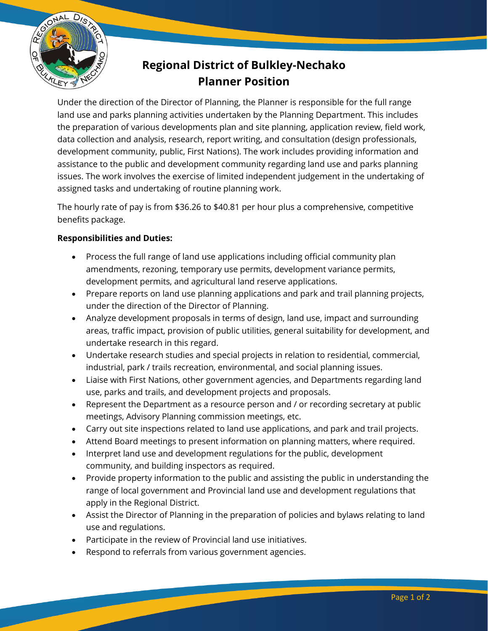

## **Regional District of Bulkley-Nechako Planner Position**

Under the direction of the Director of Planning, the Planner is responsible for the full range land use and parks planning activities undertaken by the Planning Department. This includes the preparation of various developments plan and site planning, application review, field work, data collection and analysis, research, report writing, and consultation (design professionals, development community, public, First Nations). The work includes providing information and assistance to the public and development community regarding land use and parks planning issues. The work involves the exercise of limited independent judgement in the undertaking of assigned tasks and undertaking of routine planning work.

The hourly rate of pay is from \$36.26 to \$40.81 per hour plus a comprehensive, competitive benefits package.

## **Responsibilities and Duties:**

- Process the full range of land use applications including official community plan amendments, rezoning, temporary use permits, development variance permits, development permits, and agricultural land reserve applications.
- Prepare reports on land use planning applications and park and trail planning projects, under the direction of the Director of Planning.
- Analyze development proposals in terms of design, land use, impact and surrounding areas, traffic impact, provision of public utilities, general suitability for development, and undertake research in this regard.
- Undertake research studies and special projects in relation to residential, commercial, industrial, park / trails recreation, environmental, and social planning issues.
- Liaise with First Nations, other government agencies, and Departments regarding land use, parks and trails, and development projects and proposals.
- Represent the Department as a resource person and / or recording secretary at public meetings, Advisory Planning commission meetings, etc.
- Carry out site inspections related to land use applications, and park and trail projects.
- Attend Board meetings to present information on planning matters, where required.
- Interpret land use and development regulations for the public, development community, and building inspectors as required.
- Provide property information to the public and assisting the public in understanding the range of local government and Provincial land use and development regulations that apply in the Regional District.
- Assist the Director of Planning in the preparation of policies and bylaws relating to land use and regulations.
- Participate in the review of Provincial land use initiatives.
- Respond to referrals from various government agencies.